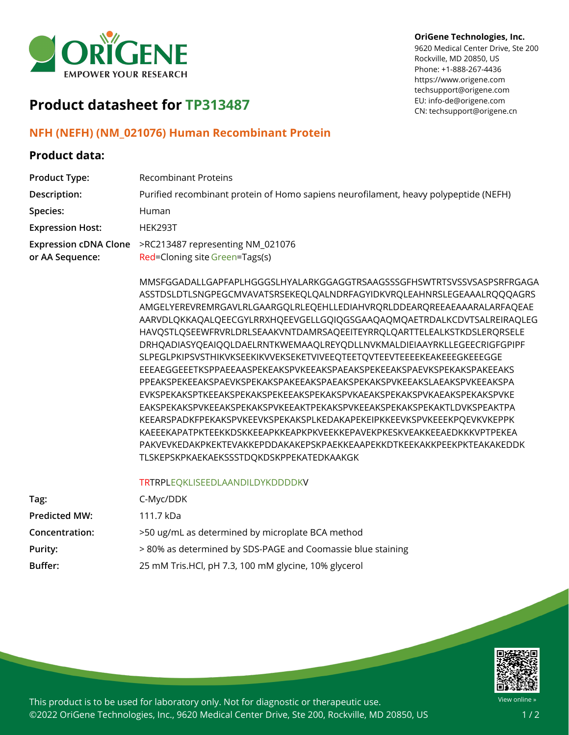

#### **OriGene Technologies, Inc.**

9620 Medical Center Drive, Ste 200 Rockville, MD 20850, US Phone: +1-888-267-4436 https://www.origene.com techsupport@origene.com EU: info-de@origene.com CN: techsupport@origene.cn

# **Product datasheet for TP313487**

#### **NFH (NEFH) (NM\_021076) Human Recombinant Protein**

### **Product data:**

| <b>Product Type:</b>                            | <b>Recombinant Proteins</b>                                                                                                                                                                                                                                                                                                                                                                                                                                                                                                                                                                                                                                                                                                                                                                                                                                                                                                                                                                                                                                                                                          |
|-------------------------------------------------|----------------------------------------------------------------------------------------------------------------------------------------------------------------------------------------------------------------------------------------------------------------------------------------------------------------------------------------------------------------------------------------------------------------------------------------------------------------------------------------------------------------------------------------------------------------------------------------------------------------------------------------------------------------------------------------------------------------------------------------------------------------------------------------------------------------------------------------------------------------------------------------------------------------------------------------------------------------------------------------------------------------------------------------------------------------------------------------------------------------------|
| Description:                                    | Purified recombinant protein of Homo sapiens neurofilament, heavy polypeptide (NEFH)                                                                                                                                                                                                                                                                                                                                                                                                                                                                                                                                                                                                                                                                                                                                                                                                                                                                                                                                                                                                                                 |
| Species:                                        | Human                                                                                                                                                                                                                                                                                                                                                                                                                                                                                                                                                                                                                                                                                                                                                                                                                                                                                                                                                                                                                                                                                                                |
| <b>Expression Host:</b>                         | <b>HEK293T</b>                                                                                                                                                                                                                                                                                                                                                                                                                                                                                                                                                                                                                                                                                                                                                                                                                                                                                                                                                                                                                                                                                                       |
| <b>Expression cDNA Clone</b><br>or AA Sequence: | >RC213487 representing NM_021076<br>Red=Cloning site Green=Tags(s)                                                                                                                                                                                                                                                                                                                                                                                                                                                                                                                                                                                                                                                                                                                                                                                                                                                                                                                                                                                                                                                   |
|                                                 | MMSFGGADALLGAPFAPLHGGGSLHYALARKGGAGGTRSAAGSSSGFHSWTRTSVSSVSASPSRFRGAGA<br>ASSTDSLDTLSNGPEGCMVAVATSRSEKEQLQALNDRFAGYIDKVRQLEAHNRSLEGEAAALRQQQAGRS<br>AMGELYEREVREMRGAVLRLGAARGQLRLEQEHLLEDIAHVRQRLDDEARQREEAEAAARALARFAQEAE<br>AARVDLQKKAQALQEECGYLRRXHQEEVGELLGQIQGSGAAQAQMQAETRDALKCDVTSALREIRAQLEG<br>HAVQSTLQSEEWFRVRLDRLSEAAKVNTDAMRSAQEEITEYRRQLQARTTELEALKSTKDSLERQRSELE<br>DRHQADIASYQEAIQQLDAELRNTKWEMAAQLREYQDLLNVKMALDIEIAAYRKLLEGEECRIGFGPIPF<br>SLPEGLPKIPSVSTHIKVKSEEKIKVVEKSEKETVIVEEQTEETQVTEEVTEEEEKEAKEEEGKEEEGGE<br>EEEAEGGEEETKSPPAEEAASPEKEAKSPVKEEAKSPAEAKSPEKEEAKSPAEVKSPEKAKSPAKEEAKS<br>PPEAKSPEKEEAKSPAEVKSPEKAKSPAKEEAKSPAEAKSPEKAKSPVKEEAKSLAEAKSPVKEEAKSPA<br>EVKSPEKAKSPTKEEAKSPEKAKSPEKEEAKSPEKAKSPVKAEAKSPEKAKSPVKAEAKSPEKAKSPVKE<br>EAKSPEKAKSPVKEEAKSPEKAKSPVKEEAKTPEKAKSPVKEEAKSPEKAKSPEKAKTLDVKSPEAKTPA<br>KEEARSPADKFPEKAKSPVKEEVKSPEKAKSPLKEDAKAPEKEIPKKEEVKSPVKEEEKPQEVKVKEPPK<br>KAEEEKAPATPKTEEKKDSKKEEAPKKEAPKPKVEEKKEPAVEKPKESKVEAKKEEAEDKKKVPTPEKEA<br>PAKVEVKEDAKPKEKTEVAKKEPDDAKAKEPSKPAEKKEAAPEKKDTKEEKAKKPEEKPKTEAKAKEDDK<br>TLSKEPSKPKAEKAEKSSSTDQKDSKPPEKATEDKAAKGK |
|                                                 | TRTRPLEQKLISEEDLAANDILDYKDDDDKV                                                                                                                                                                                                                                                                                                                                                                                                                                                                                                                                                                                                                                                                                                                                                                                                                                                                                                                                                                                                                                                                                      |
| Tag:                                            | C-Myc/DDK                                                                                                                                                                                                                                                                                                                                                                                                                                                                                                                                                                                                                                                                                                                                                                                                                                                                                                                                                                                                                                                                                                            |
| <b>Predicted MW:</b>                            | 111.7 kDa                                                                                                                                                                                                                                                                                                                                                                                                                                                                                                                                                                                                                                                                                                                                                                                                                                                                                                                                                                                                                                                                                                            |
| Concentration:                                  | >50 ug/mL as determined by microplate BCA method                                                                                                                                                                                                                                                                                                                                                                                                                                                                                                                                                                                                                                                                                                                                                                                                                                                                                                                                                                                                                                                                     |
| <b>Purity:</b>                                  | >80% as determined by SDS-PAGE and Coomassie blue staining                                                                                                                                                                                                                                                                                                                                                                                                                                                                                                                                                                                                                                                                                                                                                                                                                                                                                                                                                                                                                                                           |
| <b>Buffer:</b>                                  | 25 mM Tris.HCl, pH 7.3, 100 mM glycine, 10% glycerol                                                                                                                                                                                                                                                                                                                                                                                                                                                                                                                                                                                                                                                                                                                                                                                                                                                                                                                                                                                                                                                                 |



This product is to be used for laboratory only. Not for diagnostic or therapeutic use. ©2022 OriGene Technologies, Inc., 9620 Medical Center Drive, Ste 200, Rockville, MD 20850, US